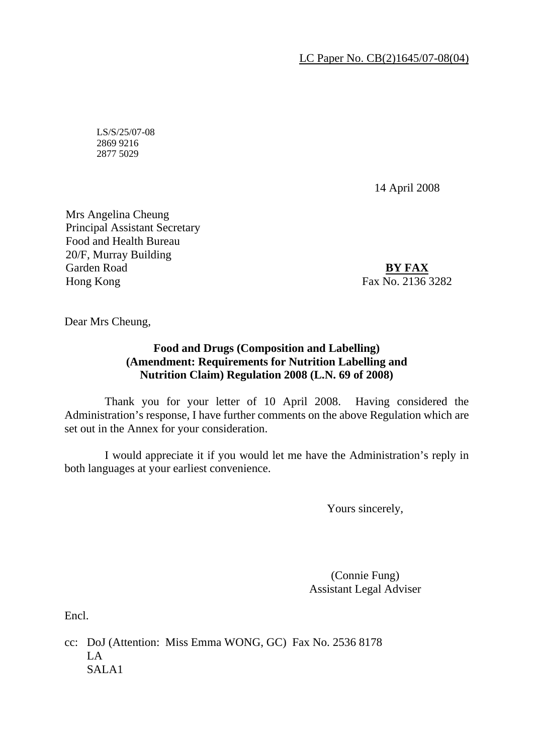LC Paper No. CB(2)1645/07-08(04)

LS/S/25/07-08 2869 9216 2877 5029

14 April 2008

Mrs Angelina Cheung Principal Assistant Secretary Food and Health Bureau 20/F, Murray Building Garden Road Hong Kong

**BY FAX**  Fax No. 2136 3282

Dear Mrs Cheung,

## **Food and Drugs (Composition and Labelling) (Amendment: Requirements for Nutrition Labelling and Nutrition Claim) Regulation 2008 (L.N. 69 of 2008)**

 Thank you for your letter of 10 April 2008. Having considered the Administration's response, I have further comments on the above Regulation which are set out in the Annex for your consideration.

 I would appreciate it if you would let me have the Administration's reply in both languages at your earliest convenience.

Yours sincerely,

(Connie Fung) Assistant Legal Adviser

Encl.

cc: DoJ (Attention: Miss Emma WONG, GC) Fax No. 2536 8178  $L_A$ SALA1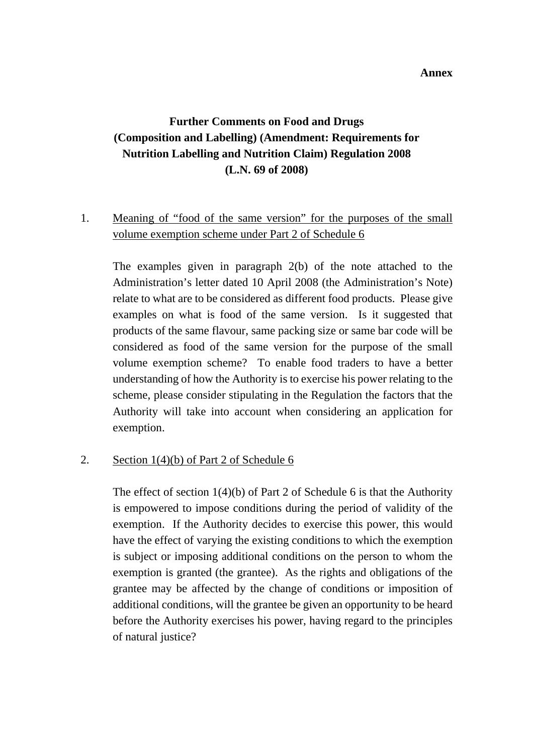#### **Annex**

# **Further Comments on Food and Drugs (Composition and Labelling) (Amendment: Requirements for Nutrition Labelling and Nutrition Claim) Regulation 2008 (L.N. 69 of 2008)**

# 1. Meaning of "food of the same version" for the purposes of the small volume exemption scheme under Part 2 of Schedule 6

 The examples given in paragraph 2(b) of the note attached to the Administration's letter dated 10 April 2008 (the Administration's Note) relate to what are to be considered as different food products. Please give examples on what is food of the same version. Is it suggested that products of the same flavour, same packing size or same bar code will be considered as food of the same version for the purpose of the small volume exemption scheme? To enable food traders to have a better understanding of how the Authority is to exercise his power relating to the scheme, please consider stipulating in the Regulation the factors that the Authority will take into account when considering an application for exemption.

## 2. Section 1(4)(b) of Part 2 of Schedule 6

The effect of section  $1(4)(b)$  of Part 2 of Schedule 6 is that the Authority is empowered to impose conditions during the period of validity of the exemption. If the Authority decides to exercise this power, this would have the effect of varying the existing conditions to which the exemption is subject or imposing additional conditions on the person to whom the exemption is granted (the grantee). As the rights and obligations of the grantee may be affected by the change of conditions or imposition of additional conditions, will the grantee be given an opportunity to be heard before the Authority exercises his power, having regard to the principles of natural justice?